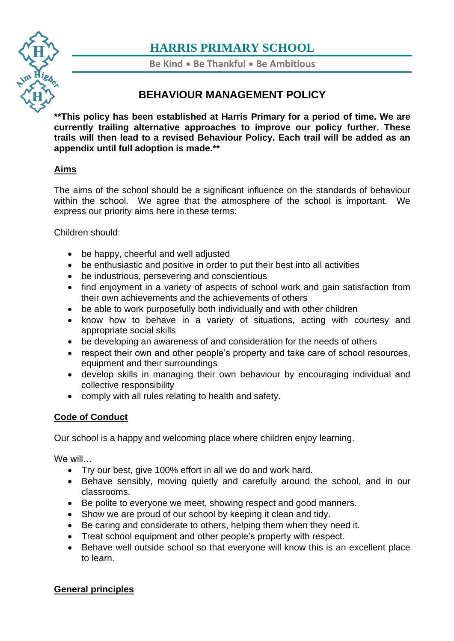

**Be Kind** • **Be Thankful** • **Be Ambitious**

# **BEHAVIOUR MANAGEMENT POLICY**

**[\\*\\*Th](https://www.harris.lancs.sch.uk/)is policy has been established at Harris Primary for a period of time. We are [cur](https://www.harris.lancs.sch.uk/contact-details/)rently trailing alternative approaches to improve our policy further. These trails will then lead to a revised Behaviour Policy. Each trail will be added as an appendix until full adoption is made.\*\***

# **Aims**

The aims of the school should be a significant influence on the standards of behaviour within the school. We agree that the atmosphere of the school is important. We express our priority aims here in these terms:

Children should:

- be happy, cheerful and well adjusted
- be enthusiastic and positive in order to put their best into all activities
- be industrious, persevering and conscientious
- find enjoyment in a variety of aspects of school work and gain satisfaction from their own achievements and the achievements of others
- be able to work purposefully both individually and with other children
- know how to behave in a variety of situations, acting with courtesy and appropriate social skills
- be developing an awareness of and consideration for the needs of others
- respect their own and other people's property and take care of school resources, equipment and their surroundings
- develop skills in managing their own behaviour by encouraging individual and collective responsibility
- comply with all rules relating to health and safety.

## **Code of Conduct**

Our school is a happy and welcoming place where children enjoy learning.

We will…

- Try our best, give 100% effort in all we do and work hard.
- Behave sensibly, moving quietly and carefully around the school, and in our classrooms.
- Be polite to everyone we meet, showing respect and good manners.
- Show we are proud of our school by keeping it clean and tidy.
- Be caring and considerate to others, helping them when they need it.
- Treat school equipment and other people's property with respect.
- Behave well outside school so that everyone will know this is an excellent place to learn.

## **General principles**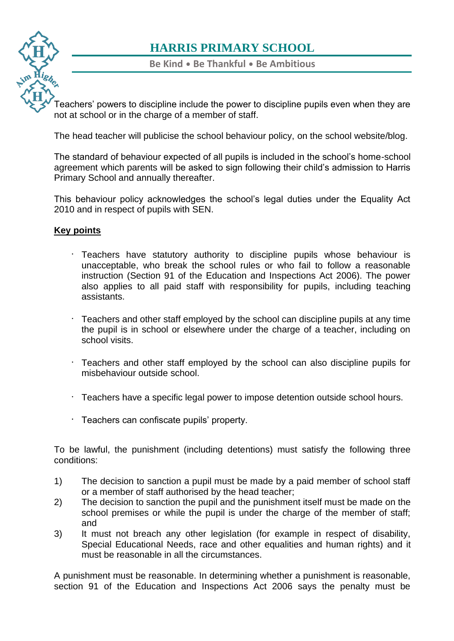**Be Kind** • **Be Thankful** • **Be Ambitious**

[Tea](https://www.harris.lancs.sch.uk/)chers' powers to discipline include the power to discipline pupils even when they are not at school or in the charge of a member of staff.

[The](https://www.harris.lancs.sch.uk/contact-details/) head teacher will publicise the school behaviour policy, on the school website/blog.

The standard of behaviour expected of all pupils is included in the school's home-school agreement which parents will be asked to sign following their child's admission to Harris Primary School and annually thereafter.

This behaviour policy acknowledges the school's legal duties under the Equality Act 2010 and in respect of pupils with SEN.

#### **Key points**

- Teachers have statutory authority to discipline pupils whose behaviour is unacceptable, who break the school rules or who fail to follow a reasonable instruction (Section 91 of the Education and Inspections Act 2006). The power also applies to all paid staff with responsibility for pupils, including teaching assistants.
- Teachers and other staff employed by the school can discipline pupils at any time the pupil is in school or elsewhere under the charge of a teacher, including on school visits.
- Teachers and other staff employed by the school can also discipline pupils for misbehaviour outside school.
- Teachers have a specific legal power to impose detention outside school hours.
- $\cdot$  Teachers can confiscate pupils' property.

To be lawful, the punishment (including detentions) must satisfy the following three conditions:

- 1) The decision to sanction a pupil must be made by a paid member of school staff or a member of staff authorised by the head teacher;
- 2) The decision to sanction the pupil and the punishment itself must be made on the school premises or while the pupil is under the charge of the member of staff; and
- 3) It must not breach any other legislation (for example in respect of disability, Special Educational Needs, race and other equalities and human rights) and it must be reasonable in all the circumstances.

A punishment must be reasonable. In determining whether a punishment is reasonable, section 91 of the Education and Inspections Act 2006 says the penalty must be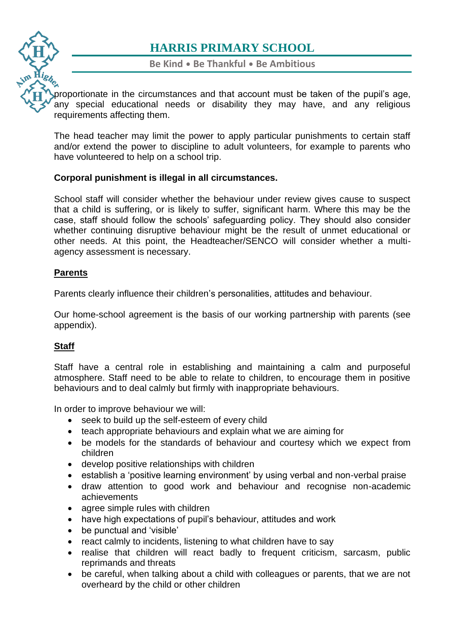

**Be Kind** • **Be Thankful** • **Be Ambitious**

[pro](https://www.harris.lancs.sch.uk/)portionate in the circumstances and that account must be taken of the pupil's age, any special educational needs or disability they may have, and any religious requirements affecting them.

[The](https://www.harris.lancs.sch.uk/contact-details/) head teacher may limit the power to apply particular punishments to certain staff and/or extend the power to discipline to adult volunteers, for example to parents who have volunteered to help on a school trip.

#### **Corporal punishment is illegal in all circumstances.**

School staff will consider whether the behaviour under review gives cause to suspect that a child is suffering, or is likely to suffer, significant harm. Where this may be the case, staff should follow the schools' safeguarding policy. They should also consider whether continuing disruptive behaviour might be the result of unmet educational or other needs. At this point, the Headteacher/SENCO will consider whether a multiagency assessment is necessary.

#### **Parents**

Parents clearly influence their children's personalities, attitudes and behaviour.

Our home-school agreement is the basis of our working partnership with parents (see appendix).

## **Staff**

Staff have a central role in establishing and maintaining a calm and purposeful atmosphere. Staff need to be able to relate to children, to encourage them in positive behaviours and to deal calmly but firmly with inappropriate behaviours.

In order to improve behaviour we will:

- seek to build up the self-esteem of every child
- teach appropriate behaviours and explain what we are aiming for
- be models for the standards of behaviour and courtesy which we expect from children
- develop positive relationships with children
- establish a 'positive learning environment' by using verbal and non-verbal praise
- draw attention to good work and behaviour and recognise non-academic achievements
- agree simple rules with children
- have high expectations of pupil's behaviour, attitudes and work
- be punctual and 'visible'
- react calmly to incidents, listening to what children have to say
- realise that children will react badly to frequent criticism, sarcasm, public reprimands and threats
- be careful, when talking about a child with colleagues or parents, that we are not overheard by the child or other children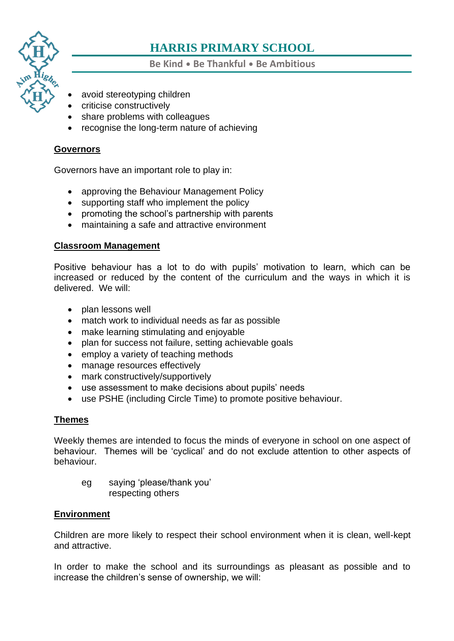

**Be Kind** • **Be Thankful** • **Be Ambitious**

- avoid stereotyping children
- criticise constructively
- share problems with colleagues
- [•](https://www.harris.lancs.sch.uk/contact-details/) recognise the long-term nature of achieving

#### **Governors**

Governors have an important role to play in:

- approving the Behaviour Management Policy
- supporting staff who implement the policy
- promoting the school's partnership with parents
- maintaining a safe and attractive environment

#### **Classroom Management**

Positive behaviour has a lot to do with pupils' motivation to learn, which can be increased or reduced by the content of the curriculum and the ways in which it is delivered. We will:

- plan lessons well
- match work to individual needs as far as possible
- make learning stimulating and enjoyable
- plan for success not failure, setting achievable goals
- employ a variety of teaching methods
- manage resources effectively
- mark constructively/supportively
- use assessment to make decisions about pupils' needs
- use PSHE (including Circle Time) to promote positive behaviour.

## **Themes**

Weekly themes are intended to focus the minds of everyone in school on one aspect of behaviour. Themes will be 'cyclical' and do not exclude attention to other aspects of behaviour.

eg saying 'please/thank you' respecting others

#### **Environment**

Children are more likely to respect their school environment when it is clean, well-kept and attractive.

In order to make the school and its surroundings as pleasant as possible and to increase the children's sense of ownership, we will: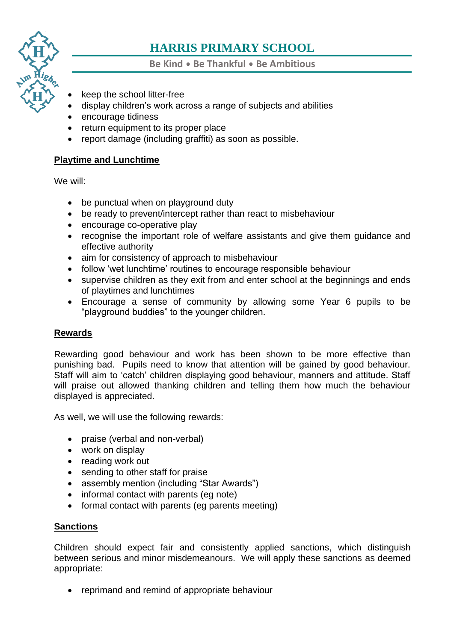

**Be Kind** • **Be Thankful** • **Be Ambitious**

- keep the school litter-free
- display children's work across a range of subjects and abilities
- encourage tidiness
- [•](https://www.harris.lancs.sch.uk/contact-details/) return equipment to its proper place
- report damage (including graffiti) as soon as possible.

#### **Playtime and Lunchtime**

We will:

- be punctual when on playground duty
- be ready to prevent/intercept rather than react to misbehaviour
- encourage co-operative play
- recognise the important role of welfare assistants and give them guidance and effective authority
- aim for consistency of approach to misbehaviour
- follow 'wet lunchtime' routines to encourage responsible behaviour
- supervise children as they exit from and enter school at the beginnings and ends of playtimes and lunchtimes
- Encourage a sense of community by allowing some Year 6 pupils to be "playground buddies" to the younger children.

## **Rewards**

Rewarding good behaviour and work has been shown to be more effective than punishing bad. Pupils need to know that attention will be gained by good behaviour. Staff will aim to 'catch' children displaying good behaviour, manners and attitude. Staff will praise out allowed thanking children and telling them how much the behaviour displayed is appreciated.

As well, we will use the following rewards:

- praise (verbal and non-verbal)
- work on display
- reading work out
- sending to other staff for praise
- assembly mention (including "Star Awards")
- informal contact with parents (eg note)
- formal contact with parents (eg parents meeting)

## **Sanctions**

Children should expect fair and consistently applied sanctions, which distinguish between serious and minor misdemeanours. We will apply these sanctions as deemed appropriate:

• reprimand and remind of appropriate behaviour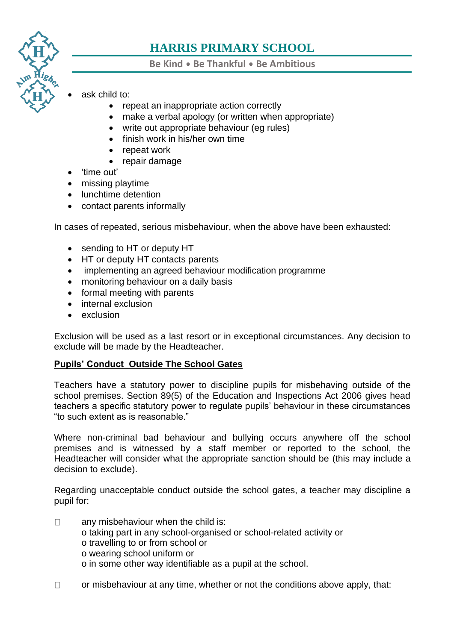

**Be Kind** • **Be Thankful** • **Be Ambitious**

- ask child to:
	- repeat an inappropriate action correctly
	- make a verbal apology (or written when appropriate)
	- write out appropriate behaviour (eg rules)
	- finish work in his/her own time
	- repeat work
	- repair damage
- 'time out'
- missing playtime
- lunchtime detention
- contact parents informally

In cases of repeated, serious misbehaviour, when the above have been exhausted:

- sending to HT or deputy HT
- HT or deputy HT contacts parents
- implementing an agreed behaviour modification programme
- monitoring behaviour on a daily basis
- formal meeting with parents
- internal exclusion
- exclusion

Exclusion will be used as a last resort or in exceptional circumstances. Any decision to exclude will be made by the Headteacher.

#### **Pupils' Conduct Outside The School Gates**

Teachers have a statutory power to discipline pupils for misbehaving outside of the school premises. Section 89(5) of the Education and Inspections Act 2006 gives head teachers a specific statutory power to regulate pupils' behaviour in these circumstances "to such extent as is reasonable."

Where non-criminal bad behaviour and bullying occurs anywhere off the school premises and is witnessed by a staff member or reported to the school, the Headteacher will consider what the appropriate sanction should be (this may include a decision to exclude).

Regarding unacceptable conduct outside the school gates, a teacher may discipline a pupil for:

- any misbehaviour when the child is:  $\Box$ o taking part in any school-organised or school-related activity or o travelling to or from school or o wearing school uniform or o in some other way identifiable as a pupil at the school.
- $\Box$ or misbehaviour at any time, whether or not the conditions above apply, that: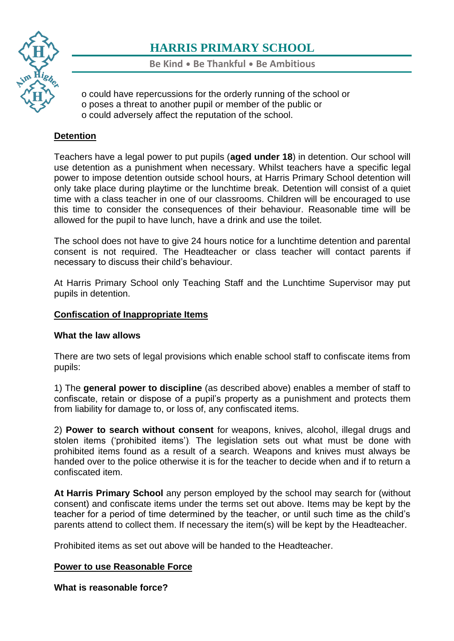

**Be Kind** • **Be Thankful** • **Be Ambitious**

- o could have repercussions for the orderly running of the school or
- o poses a threat to another pupil or member of the public or
- o could adversely affect the reputation of the school.

# **[Det](https://www.harris.lancs.sch.uk/contact-details/)ention**

Teachers have a legal power to put pupils (**aged under 18**) in detention. Our school will use detention as a punishment when necessary. Whilst teachers have a specific legal power to impose detention outside school hours, at Harris Primary School detention will only take place during playtime or the lunchtime break. Detention will consist of a quiet time with a class teacher in one of our classrooms. Children will be encouraged to use this time to consider the consequences of their behaviour. Reasonable time will be allowed for the pupil to have lunch, have a drink and use the toilet.

The school does not have to give 24 hours notice for a lunchtime detention and parental consent is not required. The Headteacher or class teacher will contact parents if necessary to discuss their child's behaviour.

At Harris Primary School only Teaching Staff and the Lunchtime Supervisor may put pupils in detention.

#### **Confiscation of Inappropriate Items**

## **What the law allows**

There are two sets of legal provisions which enable school staff to confiscate items from pupils:

1) The **general power to discipline** (as described above) enables a member of staff to confiscate, retain or dispose of a pupil's property as a punishment and protects them from liability for damage to, or loss of, any confiscated items.

2) **Power to search without consent** for weapons, knives, alcohol, illegal drugs and stolen items ('prohibited items'). The legislation sets out what must be done with prohibited items found as a result of a search. Weapons and knives must always be handed over to the police otherwise it is for the teacher to decide when and if to return a confiscated item.

**At Harris Primary School** any person employed by the school may search for (without consent) and confiscate items under the terms set out above. Items may be kept by the teacher for a period of time determined by the teacher, or until such time as the child's parents attend to collect them. If necessary the item(s) will be kept by the Headteacher.

Prohibited items as set out above will be handed to the Headteacher.

## **Power to use Reasonable Force**

**What is reasonable force?**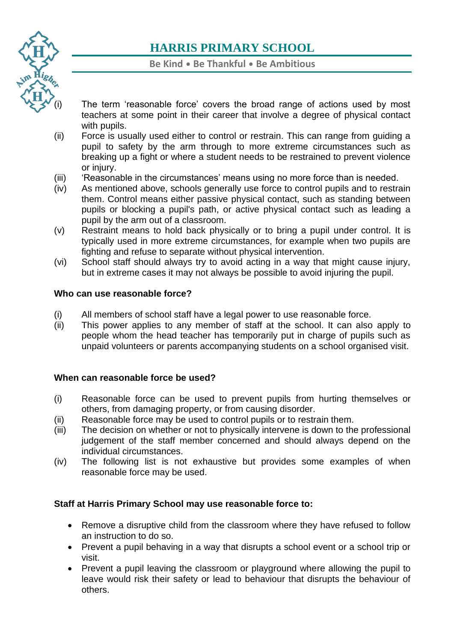

## **Be Kind** • **Be Thankful** • **Be Ambitious**

- The term 'reasonable force' covers the broad range of actions used by most teachers at some point in their career that involve a degree of physical contact with pupils.
- [\(ii\)](https://www.harris.lancs.sch.uk/contact-details/) Force is usually used either to control or restrain. This can range from guiding a pupil to safety by the arm through to more extreme circumstances such as breaking up a fight or where a student needs to be restrained to prevent violence or injury.
- (iii) 'Reasonable in the circumstances' means using no more force than is needed.
- (iv) As mentioned above, schools generally use force to control pupils and to restrain them. Control means either passive physical contact, such as standing between pupils or blocking a pupil's path, or active physical contact such as leading a pupil by the arm out of a classroom.
- (v) Restraint means to hold back physically or to bring a pupil under control. It is typically used in more extreme circumstances, for example when two pupils are fighting and refuse to separate without physical intervention.
- (vi) School staff should always try to avoid acting in a way that might cause injury, but in extreme cases it may not always be possible to avoid injuring the pupil.

#### **Who can use reasonable force?**

- (i) All members of school staff have a legal power to use reasonable force.
- (ii) This power applies to any member of staff at the school. It can also apply to people whom the head teacher has temporarily put in charge of pupils such as unpaid volunteers or parents accompanying students on a school organised visit.

#### **When can reasonable force be used?**

- (i) Reasonable force can be used to prevent pupils from hurting themselves or others, from damaging property, or from causing disorder.
- (ii) Reasonable force may be used to control pupils or to restrain them.
- (iii) The decision on whether or not to physically intervene is down to the professional judgement of the staff member concerned and should always depend on the individual circumstances.
- (iv) The following list is not exhaustive but provides some examples of when reasonable force may be used.

## **Staff at Harris Primary School may use reasonable force to:**

- Remove a disruptive child from the classroom where they have refused to follow an instruction to do so.
- Prevent a pupil behaving in a way that disrupts a school event or a school trip or visit.
- Prevent a pupil leaving the classroom or playground where allowing the pupil to leave would risk their safety or lead to behaviour that disrupts the behaviour of others.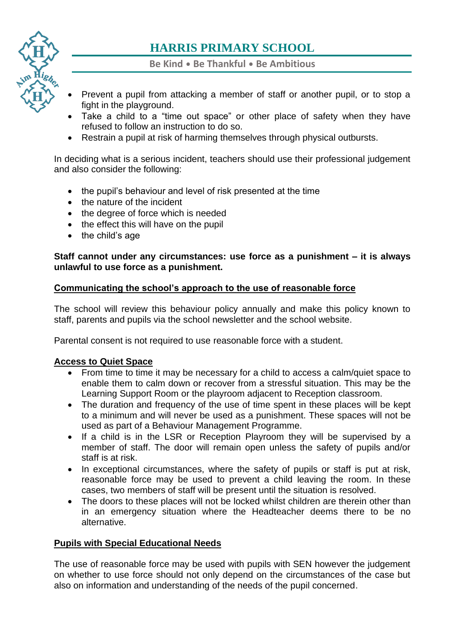

**Be Kind** • **Be Thankful** • **Be Ambitious**

- Prevent a pupil from attacking a member of staff or another pupil, or to stop a fight in the playground.
- Take a child to a "time out space" or other place of safety when they have refused to follow an instruction to do so.
- [•](https://www.harris.lancs.sch.uk/contact-details/) Restrain a pupil at risk of harming themselves through physical outbursts.

In deciding what is a serious incident, teachers should use their professional judgement and also consider the following:

- the pupil's behaviour and level of risk presented at the time
- the nature of the incident
- the degree of force which is needed
- the effect this will have on the pupil
- the child's age

#### **Staff cannot under any circumstances: use force as a punishment – it is always unlawful to use force as a punishment.**

#### **Communicating the school's approach to the use of reasonable force**

The school will review this behaviour policy annually and make this policy known to staff, parents and pupils via the school newsletter and the school website.

Parental consent is not required to use reasonable force with a student.

#### **Access to Quiet Space**

- From time to time it may be necessary for a child to access a calm/quiet space to enable them to calm down or recover from a stressful situation. This may be the Learning Support Room or the playroom adjacent to Reception classroom.
- The duration and frequency of the use of time spent in these places will be kept to a minimum and will never be used as a punishment. These spaces will not be used as part of a Behaviour Management Programme.
- If a child is in the LSR or Reception Playroom they will be supervised by a member of staff. The door will remain open unless the safety of pupils and/or staff is at risk.
- In exceptional circumstances, where the safety of pupils or staff is put at risk, reasonable force may be used to prevent a child leaving the room. In these cases, two members of staff will be present until the situation is resolved.
- The doors to these places will not be locked whilst children are therein other than in an emergency situation where the Headteacher deems there to be no alternative.

## **Pupils with Special Educational Needs**

The use of reasonable force may be used with pupils with SEN however the judgement on whether to use force should not only depend on the circumstances of the case but also on information and understanding of the needs of the pupil concerned.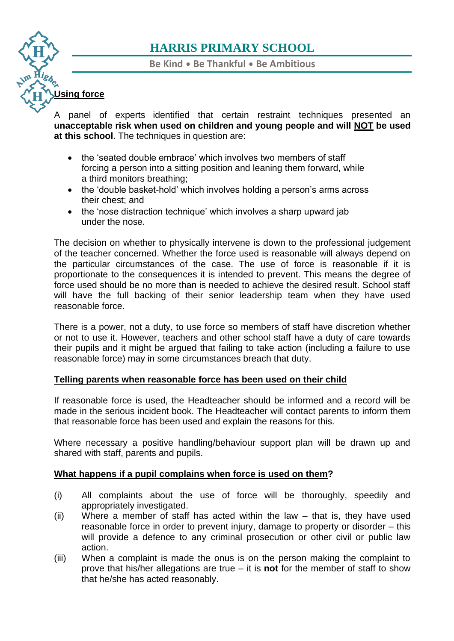**Be Kind** • **Be Thankful** • **Be Ambitious**

# **[Usi](https://www.harris.lancs.sch.uk/)ng force**

A panel of experts identified that certain restraint techniques presented an **[una](https://www.harris.lancs.sch.uk/contact-details/)cceptable risk when used on children and young people and will NOT be used at this school**. The techniques in question are:

- the 'seated double embrace' which involves two members of staff forcing a person into a sitting position and leaning them forward, while a third monitors breathing;
- the 'double basket-hold' which involves holding a person's arms across their chest; and
- the 'nose distraction technique' which involves a sharp upward jab under the nose.

The decision on whether to physically intervene is down to the professional judgement of the teacher concerned. Whether the force used is reasonable will always depend on the particular circumstances of the case. The use of force is reasonable if it is proportionate to the consequences it is intended to prevent. This means the degree of force used should be no more than is needed to achieve the desired result. School staff will have the full backing of their senior leadership team when they have used reasonable force.

There is a power, not a duty, to use force so members of staff have discretion whether or not to use it. However, teachers and other school staff have a duty of care towards their pupils and it might be argued that failing to take action (including a failure to use reasonable force) may in some circumstances breach that duty.

## **Telling parents when reasonable force has been used on their child**

If reasonable force is used, the Headteacher should be informed and a record will be made in the serious incident book. The Headteacher will contact parents to inform them that reasonable force has been used and explain the reasons for this.

Where necessary a positive handling/behaviour support plan will be drawn up and shared with staff, parents and pupils.

## **What happens if a pupil complains when force is used on them?**

- (i) All complaints about the use of force will be thoroughly, speedily and appropriately investigated.
- (ii) Where a member of staff has acted within the law that is, they have used reasonable force in order to prevent injury, damage to property or disorder – this will provide a defence to any criminal prosecution or other civil or public law action.
- (iii) When a complaint is made the onus is on the person making the complaint to prove that his/her allegations are true – it is **not** for the member of staff to show that he/she has acted reasonably.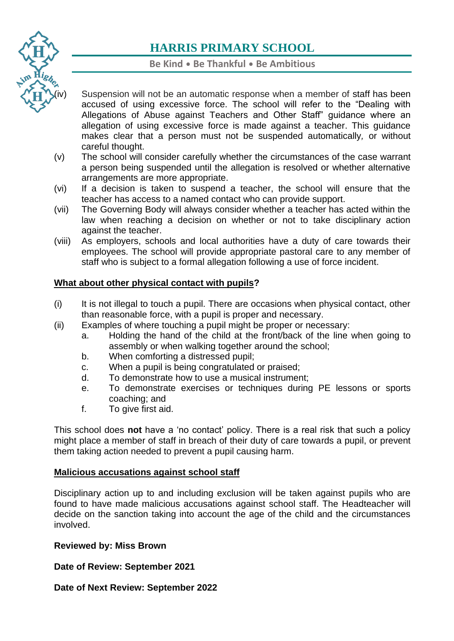

## **Be Kind** • **Be Thankful** • **Be Ambitious**

- Suspension will not be an automatic response when a member of staff has been accused of using excessive force. The school will refer to the "Dealing with Allegations of Abuse against Teachers and Other Staff" guidance where an allegation of using excessive force is made against a teacher. This guidance makes clear that a person must not be suspended automatically*,* or without careful thought.
- (v) The school will consider carefully whether the circumstances of the case warrant a person being suspended until the allegation is resolved or whether alternative arrangements are more appropriate.
- (vi) If a decision is taken to suspend a teacher, the school will ensure that the teacher has access to a named contact who can provide support.
- (vii) The Governing Body will always consider whether a teacher has acted within the law when reaching a decision on whether or not to take disciplinary action against the teacher.
- (viii) As employers, schools and local authorities have a duty of care towards their employees. The school will provide appropriate pastoral care to any member of staff who is subject to a formal allegation following a use of force incident.

## **What about other physical contact with pupils?**

- (i) It is not illegal to touch a pupil. There are occasions when physical contact, other than reasonable force, with a pupil is proper and necessary.
- (ii) Examples of where touching a pupil might be proper or necessary:
	- a. Holding the hand of the child at the front/back of the line when going to assembly or when walking together around the school;
	- b. When comforting a distressed pupil;
	- c. When a pupil is being congratulated or praised;
	- d. To demonstrate how to use a musical instrument;
	- e. To demonstrate exercises or techniques during PE lessons or sports coaching; and
	- f. To give first aid.

This school does **not** have a 'no contact' policy. There is a real risk that such a policy might place a member of staff in breach of their duty of care towards a pupil, or prevent them taking action needed to prevent a pupil causing harm.

#### **Malicious accusations against school staff**

Disciplinary action up to and including exclusion will be taken against pupils who are found to have made malicious accusations against school staff. The Headteacher will decide on the sanction taking into account the age of the child and the circumstances involved.

#### **Reviewed by: Miss Brown**

**Date of Review: September 2021**

**Date of Next Review: September 2022**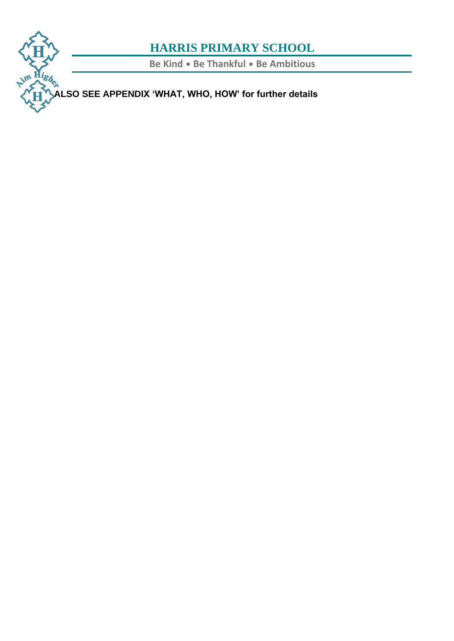# m Highen

# **HARRIS PRIMARY SCHOOL**

**Be Kind** • **Be Thankful** • **Be Ambitious**

**[ALS](https://www.harris.lancs.sch.uk/)O SEE APPENDIX 'WHAT, WHO, HOW' for further details**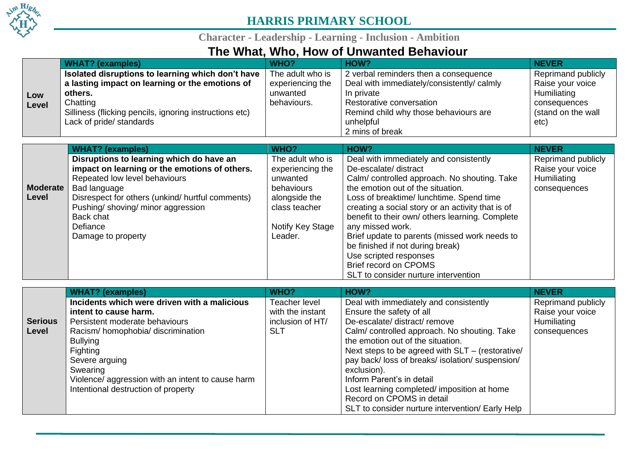

**Character - Leadership - Learning - Inclusion - Ambition**

# **The What, Who, How of Unwanted Behaviour**

|       | <b>WHAT?</b> (examples)                                 | WHO?             | HOW?                                       | <b>NEVER</b>              |
|-------|---------------------------------------------------------|------------------|--------------------------------------------|---------------------------|
|       | Isolated disruptions to learning which don't have       | The adult who is | 2 verbal reminders then a consequence      | <b>Reprimand publicly</b> |
|       | a lasting impact on learning or the emotions of         | experiencing the | Deal with immediately/consistently/ calmly | Raise your voice          |
| Low   | others.                                                 | unwanted         | In private                                 | Humiliating               |
| Level | Chatting                                                | behaviours.      | Restorative conversation                   | consequences              |
|       | Silliness (flicking pencils, ignoring instructions etc) |                  | Remind child why those behaviours are      | (stand on the wall        |
|       | Lack of pride/ standards                                |                  | unhelpful                                  | etc)                      |
|       |                                                         |                  | 2 mins of break                            |                           |

|                 | <b>WHAT?</b> (examples)                          | WHO?             | HOW?                                              | <b>NEVER</b>       |
|-----------------|--------------------------------------------------|------------------|---------------------------------------------------|--------------------|
|                 | Disruptions to learning which do have an         | The adult who is | Deal with immediately and consistently            | Reprimand publicly |
|                 | impact on learning or the emotions of others.    | experiencing the | De-escalate/ distract                             | Raise your voice   |
|                 | Repeated low level behaviours                    | unwanted         | Calm/controlled approach. No shouting. Take       | Humiliating        |
| <b>Moderate</b> | Bad language                                     | behaviours       | the emotion out of the situation.                 | consequences       |
| Level           | Disrespect for others (unkind/ hurtful comments) | alongside the    | Loss of breaktime/ lunchtime. Spend time          |                    |
|                 | Pushing/shoving/minor aggression                 | class teacher    | creating a social story or an activity that is of |                    |
|                 | Back chat                                        |                  | benefit to their own/ others learning. Complete   |                    |
|                 | Defiance                                         | Notify Key Stage | any missed work.                                  |                    |
|                 | Damage to property                               | Leader.          | Brief update to parents (missed work needs to     |                    |
|                 |                                                  |                  | be finished if not during break)                  |                    |
|                 |                                                  |                  | Use scripted responses                            |                    |
|                 |                                                  |                  | Brief record on CPOMS                             |                    |
|                 |                                                  |                  | SLT to consider nurture intervention              |                    |

|                | WHAT? (examples)                                  | WHO?             | HOW?                                             | <b>NEVER</b>              |
|----------------|---------------------------------------------------|------------------|--------------------------------------------------|---------------------------|
|                | Incidents which were driven with a malicious      | Teacher level    | Deal with immediately and consistently           | <b>Reprimand publicly</b> |
|                | intent to cause harm.                             | with the instant | Ensure the safety of all                         | Raise your voice          |
| <b>Serious</b> | Persistent moderate behaviours                    | inclusion of HT/ | De-escalate/ distract/ remove                    | Humiliating               |
| Level          | Racism/homophobia/discrimination                  | <b>SLT</b>       | Calm/controlled approach. No shouting. Take      | consequences              |
|                | <b>Bullying</b>                                   |                  | the emotion out of the situation.                |                           |
|                | Fighting                                          |                  | Next steps to be agreed with SLT - (restorative/ |                           |
|                | Severe arguing                                    |                  | pay back/loss of breaks/isolation/suspension/    |                           |
|                | Swearing                                          |                  | exclusion).                                      |                           |
|                | Violence/ aggression with an intent to cause harm |                  | Inform Parent's in detail                        |                           |
|                | Intentional destruction of property               |                  | Lost learning completed/imposition at home       |                           |
|                |                                                   |                  | Record on CPOMS in detail                        |                           |
|                |                                                   |                  | SLT to consider nurture intervention/ Early Help |                           |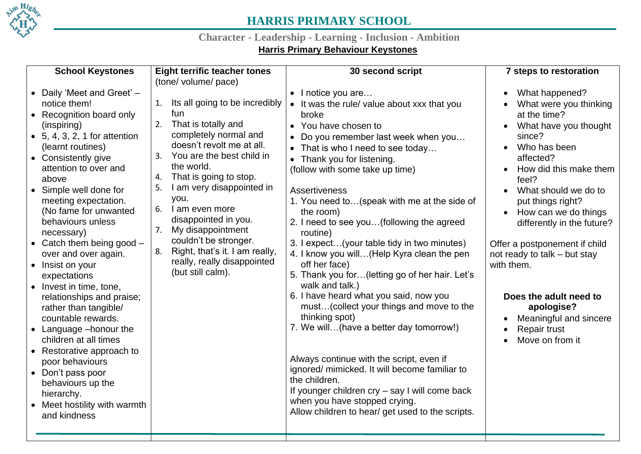

# **Character - Leadership - Learning - Inclusion - Ambition**

# **Harris Primary Behaviour Keystones**

| <b>School Keystones</b>                                                                                                                                                                                                                                                                                                                                                                                                                                                                                                                                                                                                                                                                                                               | <b>Eight terrific teacher tones</b><br>(tone/ volume/ pace)                                                                                                                                                                                                                                                                                                                                                                                                | 30 second script                                                                                                                                                                                                                                                                                                                                                                                                                                                                                                                                                                                                                                                                                                                                                                                                                                                                                                                                                                       | <b>7 steps to restoration</b>                                                                                                                                                                                                                                                                                                                                                                                                                             |
|---------------------------------------------------------------------------------------------------------------------------------------------------------------------------------------------------------------------------------------------------------------------------------------------------------------------------------------------------------------------------------------------------------------------------------------------------------------------------------------------------------------------------------------------------------------------------------------------------------------------------------------------------------------------------------------------------------------------------------------|------------------------------------------------------------------------------------------------------------------------------------------------------------------------------------------------------------------------------------------------------------------------------------------------------------------------------------------------------------------------------------------------------------------------------------------------------------|----------------------------------------------------------------------------------------------------------------------------------------------------------------------------------------------------------------------------------------------------------------------------------------------------------------------------------------------------------------------------------------------------------------------------------------------------------------------------------------------------------------------------------------------------------------------------------------------------------------------------------------------------------------------------------------------------------------------------------------------------------------------------------------------------------------------------------------------------------------------------------------------------------------------------------------------------------------------------------------|-----------------------------------------------------------------------------------------------------------------------------------------------------------------------------------------------------------------------------------------------------------------------------------------------------------------------------------------------------------------------------------------------------------------------------------------------------------|
| Daily 'Meet and Greet' -<br>notice them!<br>• Recognition board only<br>(inspiring)<br>$\bullet$ 5, 4, 3, 2, 1 for attention<br>(learnt routines)<br>• Consistently give<br>attention to over and<br>above<br>• Simple well done for<br>meeting expectation.<br>(No fame for unwanted<br>behaviours unless<br>necessary)<br>• Catch them being good $-$<br>over and over again.<br>• Insist on your<br>expectations<br>• Invest in time, tone,<br>relationships and praise;<br>rather than tangible/<br>countable rewards.<br>• Language -honour the<br>children at all times<br>• Restorative approach to<br>poor behaviours<br>• Don't pass poor<br>behaviours up the<br>hierarchy.<br>• Meet hostility with warmth<br>and kindness | Its all going to be incredibly<br>1.<br>fun<br>That is totally and<br>2.<br>completely normal and<br>doesn't revolt me at all.<br>You are the best child in<br>3.<br>the world.<br>That is going to stop.<br>4.<br>I am very disappointed in<br>5.<br>you.<br>I am even more<br>6.<br>disappointed in you.<br>7.<br>My disappointment<br>couldn't be stronger.<br>Right, that's it. I am really,<br>8.<br>really, really disappointed<br>(but still calm). | • I notice you are<br>• It was the rule/ value about xxx that you<br>broke<br>• You have chosen to<br>Do you remember last week when you<br>• That is who I need to see today<br>• Thank you for listening.<br>(follow with some take up time)<br><b>Assertiveness</b><br>1. You need to (speak with me at the side of<br>the room)<br>2. I need to see you(following the agreed<br>routine)<br>3. I expect(your table tidy in two minutes)<br>4. I know you will(Help Kyra clean the pen<br>off her face)<br>5. Thank you for(letting go of her hair. Let's<br>walk and talk.)<br>6. I have heard what you said, now you<br>must(collect your things and move to the<br>thinking spot)<br>7. We will(have a better day tomorrow!)<br>Always continue with the script, even if<br>ignored/mimicked. It will become familiar to<br>the children.<br>If younger children cry - say I will come back<br>when you have stopped crying.<br>Allow children to hear/ get used to the scripts. | What happened?<br>What were you thinking<br>at the time?<br>What have you thought<br>since?<br>Who has been<br>affected?<br>How did this make them<br>feel?<br>What should we do to<br>put things right?<br>How can we do things<br>differently in the future?<br>Offer a postponement if child<br>not ready to talk - but stay<br>with them.<br>Does the adult need to<br>apologise?<br>Meaningful and sincere<br><b>Repair trust</b><br>Move on from it |